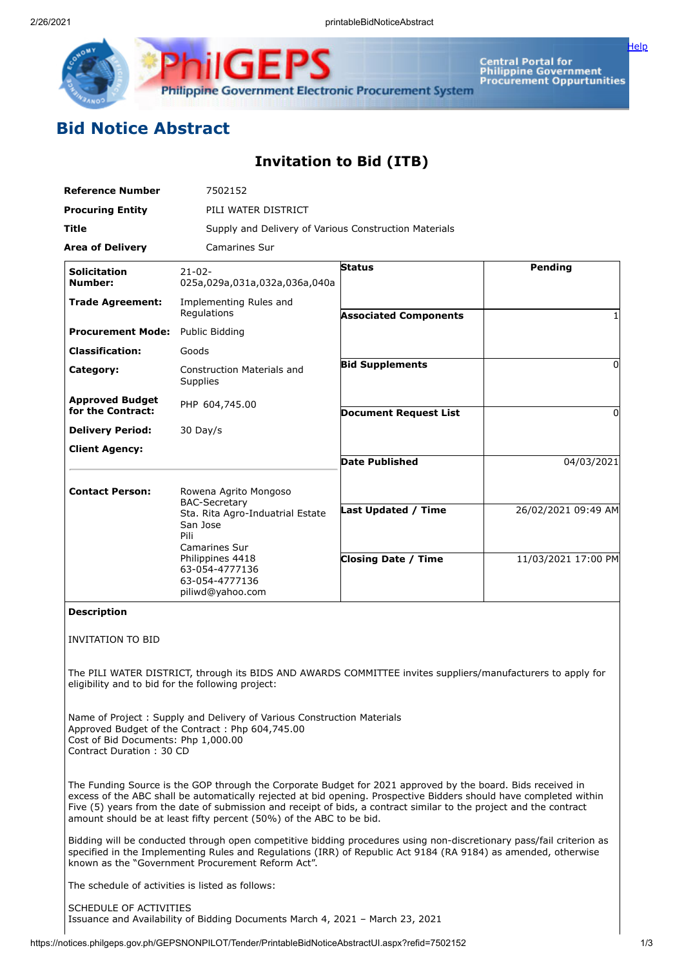

Central Portal for<br>Philippine Government<br>Procurement Oppurtunities

[Help](javascript:void(window.open()

## **Bid Notice Abstract**

## **Invitation to Bid (ITB)**

| <b>Reference Number</b>                                         | 7502152                                                                                                                                                                                                                                                                                                                                                                                                                        |                                                          |                                            |  |
|-----------------------------------------------------------------|--------------------------------------------------------------------------------------------------------------------------------------------------------------------------------------------------------------------------------------------------------------------------------------------------------------------------------------------------------------------------------------------------------------------------------|----------------------------------------------------------|--------------------------------------------|--|
| <b>Procuring Entity</b>                                         |                                                                                                                                                                                                                                                                                                                                                                                                                                | PILI WATER DISTRICT                                      |                                            |  |
| Title                                                           | Supply and Delivery of Various Construction Materials                                                                                                                                                                                                                                                                                                                                                                          |                                                          |                                            |  |
| <b>Area of Delivery</b>                                         | <b>Camarines Sur</b>                                                                                                                                                                                                                                                                                                                                                                                                           |                                                          |                                            |  |
| <b>Solicitation</b><br><b>Number:</b>                           | $21 - 02 -$<br>025a,029a,031a,032a,036a,040a                                                                                                                                                                                                                                                                                                                                                                                   | <b>Status</b>                                            | <b>Pending</b>                             |  |
| <b>Trade Agreement:</b>                                         | Implementing Rules and<br>Regulations                                                                                                                                                                                                                                                                                                                                                                                          | <b>Associated Components</b>                             |                                            |  |
| <b>Procurement Mode:</b>                                        | Public Bidding                                                                                                                                                                                                                                                                                                                                                                                                                 |                                                          |                                            |  |
| <b>Classification:</b>                                          | Goods                                                                                                                                                                                                                                                                                                                                                                                                                          |                                                          |                                            |  |
| Category:                                                       | <b>Construction Materials and</b><br>Supplies                                                                                                                                                                                                                                                                                                                                                                                  | <b>Bid Supplements</b>                                   | $\Omega$                                   |  |
| <b>Approved Budget</b><br>for the Contract:                     | PHP 604,745.00                                                                                                                                                                                                                                                                                                                                                                                                                 | <b>Document Request List</b>                             | $\Omega$                                   |  |
| <b>Delivery Period:</b>                                         | 30 Day/s                                                                                                                                                                                                                                                                                                                                                                                                                       |                                                          |                                            |  |
| <b>Client Agency:</b>                                           |                                                                                                                                                                                                                                                                                                                                                                                                                                |                                                          |                                            |  |
|                                                                 |                                                                                                                                                                                                                                                                                                                                                                                                                                | <b>Date Published</b>                                    | 04/03/2021                                 |  |
| <b>Contact Person:</b>                                          | Rowena Agrito Mongoso<br><b>BAC-Secretary</b><br>Sta. Rita Agro-Induatrial Estate<br>San Jose<br>Pili<br>Camarines Sur<br>Philippines 4418<br>63-054-4777136<br>63-054-4777136                                                                                                                                                                                                                                                 | <b>Last Updated / Time</b><br><b>Closing Date / Time</b> | 26/02/2021 09:49 AM<br>11/03/2021 17:00 PM |  |
| <b>Description</b>                                              | piliwd@yahoo.com                                                                                                                                                                                                                                                                                                                                                                                                               |                                                          |                                            |  |
| <b>INVITATION TO BID</b>                                        |                                                                                                                                                                                                                                                                                                                                                                                                                                |                                                          |                                            |  |
| eligibility and to bid for the following project:               | The PILI WATER DISTRICT, through its BIDS AND AWARDS COMMITTEE invites suppliers/manufacturers to apply for                                                                                                                                                                                                                                                                                                                    |                                                          |                                            |  |
| Cost of Bid Documents: Php 1,000.00<br>Contract Duration: 30 CD | Name of Project: Supply and Delivery of Various Construction Materials<br>Approved Budget of the Contract: Php 604,745.00                                                                                                                                                                                                                                                                                                      |                                                          |                                            |  |
|                                                                 | The Funding Source is the GOP through the Corporate Budget for 2021 approved by the board. Bids received in<br>excess of the ABC shall be automatically rejected at bid opening. Prospective Bidders should have completed within<br>Five (5) years from the date of submission and receipt of bids, a contract similar to the project and the contract<br>amount should be at least fifty percent (50%) of the ABC to be bid. |                                                          |                                            |  |
|                                                                 | Bidding will be conducted through open competitive bidding procedures using non-discretionary pass/fail criterion as<br>specified in the Implementing Rules and Regulations (IRR) of Republic Act 9184 (RA 9184) as amended, otherwise<br>known as the "Government Procurement Reform Act".                                                                                                                                    |                                                          |                                            |  |
| The schedule of activities is listed as follows:                |                                                                                                                                                                                                                                                                                                                                                                                                                                |                                                          |                                            |  |
| SCHEDULE OF ACTIVITIES                                          |                                                                                                                                                                                                                                                                                                                                                                                                                                |                                                          |                                            |  |

https://notices.philgeps.gov.ph/GEPSNONPILOT/Tender/PrintableBidNoticeAbstractUI.aspx?refid=7502152 1/3

Issuance and Availability of Bidding Documents March 4, 2021 – March 23, 2021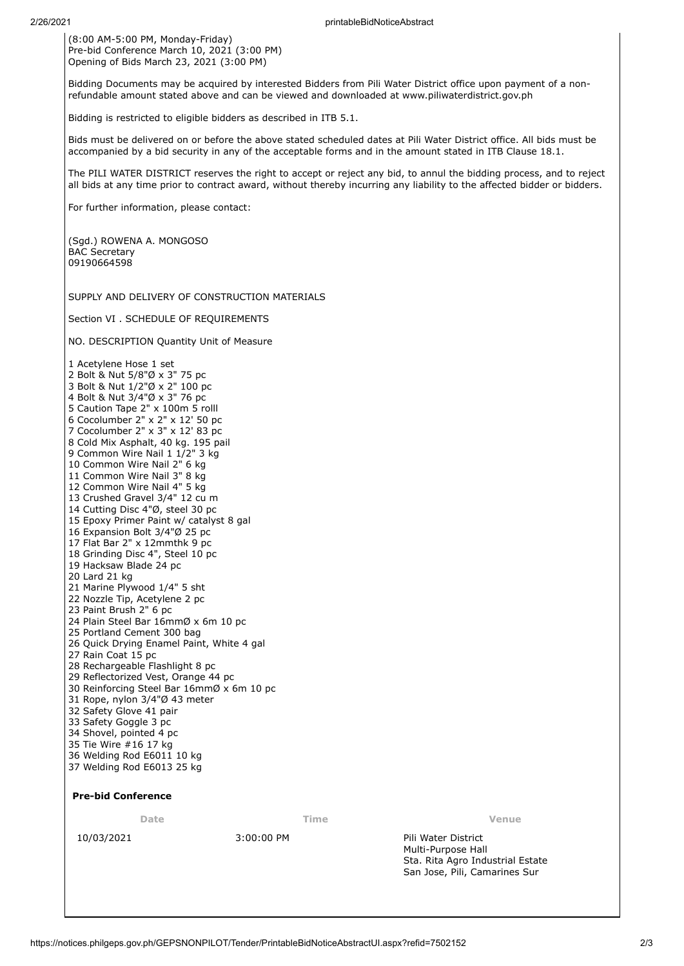(8:00 AM-5:00 PM, Monday-Friday) Pre-bid Conference March 10, 2021 (3:00 PM) Opening of Bids March 23, 2021 (3:00 PM)

Bidding Documents may be acquired by interested Bidders from Pili Water District office upon payment of a nonrefundable amount stated above and can be viewed and downloaded at www.piliwaterdistrict.gov.ph

Bidding is restricted to eligible bidders as described in ITB 5.1.

Bids must be delivered on or before the above stated scheduled dates at Pili Water District office. All bids must be accompanied by a bid security in any of the acceptable forms and in the amount stated in ITB Clause 18.1.

The PILI WATER DISTRICT reserves the right to accept or reject any bid, to annul the bidding process, and to reject all bids at any time prior to contract award, without thereby incurring any liability to the affected bidder or bidders.

For further information, please contact:

(Sgd.) ROWENA A. MONGOSO BAC Secretary 09190664598

SUPPLY AND DELIVERY OF CONSTRUCTION MATERIALS

Section VI . SCHEDULE OF REQUIREMENTS

NO. DESCRIPTION Quantity Unit of Measure

 Acetylene Hose 1 set Bolt & Nut 5/8"Ø x 3" 75 pc Bolt & Nut 1/2"Ø x 2" 100 pc Bolt & Nut 3/4"Ø x 3" 76 pc Caution Tape 2" x 100m 5 rolll Cocolumber 2" x 2" x 12' 50 pc Cocolumber 2" x 3" x 12' 83 pc Cold Mix Asphalt, 40 kg. 195 pail Common Wire Nail 1 1/2" 3 kg Common Wire Nail 2" 6 kg Common Wire Nail 3" 8 kg Common Wire Nail 4" 5 kg Crushed Gravel 3/4" 12 cu m Cutting Disc 4"Ø, steel 30 pc Epoxy Primer Paint w/ catalyst 8 gal Expansion Bolt 3/4"Ø 25 pc Flat Bar 2" x 12mmthk 9 pc Grinding Disc 4", Steel 10 pc Hacksaw Blade 24 pc Lard 21 kg Marine Plywood 1/4" 5 sht Nozzle Tip, Acetylene 2 pc Paint Brush 2" 6 pc Plain Steel Bar 16mmØ x 6m 10 pc Portland Cement 300 bag Quick Drying Enamel Paint, White 4 gal 27 Rain Coat 15 pc 28 Rechargeable Flashlight 8 pc Reflectorized Vest, Orange 44 pc Reinforcing Steel Bar 16mmØ x 6m 10 pc Rope, nylon 3/4"Ø 43 meter Safety Glove 41 pair Safety Goggle 3 pc Shovel, pointed 4 pc Tie Wire #16 17 kg Welding Rod E6011 10 kg Welding Rod E6013 25 kg

## **Pre-bid Conference**

**Date Time Venue**

10/03/2021 3:00:00 PM Pili Water District Multi-Purpose Hall Sta. Rita Agro Industrial Estate San Jose, Pili, Camarines Sur